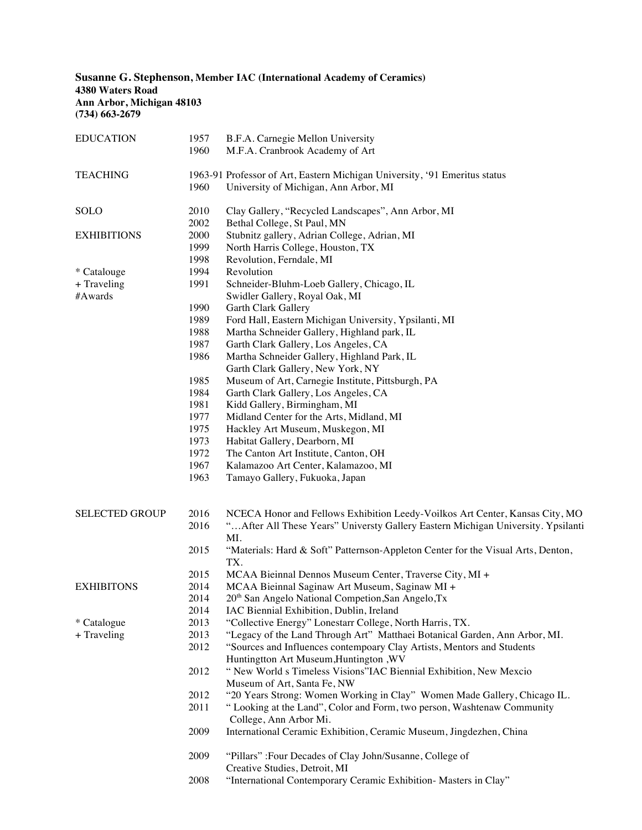**Susanne G. Stephenson, Member IAC (International Academy of Ceramics) 4380 Waters Road Ann Arbor, Michigan 48103 (734) 663-2679**

| <b>EDUCATION</b>      | 1957 | B.F.A. Carnegie Mellon University                                                       |
|-----------------------|------|-----------------------------------------------------------------------------------------|
|                       | 1960 | M.F.A. Cranbrook Academy of Art                                                         |
| <b>TEACHING</b>       |      | 1963-91 Professor of Art, Eastern Michigan University, '91 Emeritus status              |
|                       | 1960 | University of Michigan, Ann Arbor, MI                                                   |
| <b>SOLO</b>           | 2010 | Clay Gallery, "Recycled Landscapes", Ann Arbor, MI                                      |
|                       | 2002 | Bethal College, St Paul, MN                                                             |
| <b>EXHIBITIONS</b>    | 2000 | Stubnitz gallery, Adrian College, Adrian, MI                                            |
|                       | 1999 | North Harris College, Houston, TX                                                       |
|                       | 1998 | Revolution, Ferndale, MI                                                                |
| * Catalouge           | 1994 | Revolution                                                                              |
| + Traveling           | 1991 | Schneider-Bluhm-Loeb Gallery, Chicago, IL                                               |
| #Awards               |      | Swidler Gallery, Royal Oak, MI                                                          |
|                       | 1990 | Garth Clark Gallery                                                                     |
|                       | 1989 | Ford Hall, Eastern Michigan University, Ypsilanti, MI                                   |
|                       | 1988 | Martha Schneider Gallery, Highland park, IL                                             |
|                       | 1987 | Garth Clark Gallery, Los Angeles, CA                                                    |
|                       | 1986 | Martha Schneider Gallery, Highland Park, IL                                             |
|                       |      | Garth Clark Gallery, New York, NY                                                       |
|                       | 1985 | Museum of Art, Carnegie Institute, Pittsburgh, PA                                       |
|                       | 1984 | Garth Clark Gallery, Los Angeles, CA                                                    |
|                       | 1981 | Kidd Gallery, Birmingham, MI                                                            |
|                       | 1977 | Midland Center for the Arts, Midland, MI                                                |
|                       | 1975 | Hackley Art Museum, Muskegon, MI                                                        |
|                       | 1973 | Habitat Gallery, Dearborn, MI                                                           |
|                       | 1972 | The Canton Art Institute, Canton, OH                                                    |
|                       | 1967 | Kalamazoo Art Center, Kalamazoo, MI                                                     |
|                       | 1963 | Tamayo Gallery, Fukuoka, Japan                                                          |
| <b>SELECTED GROUP</b> | 2016 | NCECA Honor and Fellows Exhibition Leedy-Voilkos Art Center, Kansas City, MO            |
|                       | 2016 | " After All These Years" Universty Gallery Eastern Michigan University. Ypsilanti       |
|                       |      | MI.                                                                                     |
|                       | 2015 | "Materials: Hard & Soft" Patternson-Appleton Center for the Visual Arts, Denton,<br>TX. |
|                       | 2015 | MCAA Bieinnal Dennos Museum Center, Traverse City, MI +                                 |
| <b>EXHIBITONS</b>     | 2014 | MCAA Bieinnal Saginaw Art Museum, Saginaw MI +                                          |
|                       | 2014 | 20 <sup>th</sup> San Angelo National Competion, San Angelo, Tx                          |
|                       | 2014 | IAC Biennial Exhibition, Dublin, Ireland                                                |
| * Catalogue           | 2013 | "Collective Energy" Lonestarr College, North Harris, TX.                                |
| + Traveling           | 2013 | "Legacy of the Land Through Art" Matthaei Botanical Garden, Ann Arbor, MI.              |
|                       | 2012 | "Sources and Influences contempoary Clay Artists, Mentors and Students                  |
|                       |      | Huntingtton Art Museum, Huntington, WV                                                  |
|                       | 2012 | "New World s Timeless Visions"IAC Biennial Exhibition, New Mexcio                       |
|                       |      | Museum of Art, Santa Fe, NW                                                             |
|                       | 2012 | "20 Years Strong: Women Working in Clay" Women Made Gallery, Chicago IL.                |
|                       | 2011 | "Looking at the Land", Color and Form, two person, Washtenaw Community                  |
|                       |      | College, Ann Arbor Mi.                                                                  |
|                       | 2009 | International Ceramic Exhibition, Ceramic Museum, Jingdezhen, China                     |
|                       | 2009 | "Pillars" :Four Decades of Clay John/Susanne, College of                                |
|                       |      | Creative Studies, Detroit, MI                                                           |
|                       | 2008 | "International Contemporary Ceramic Exhibition- Masters in Clay"                        |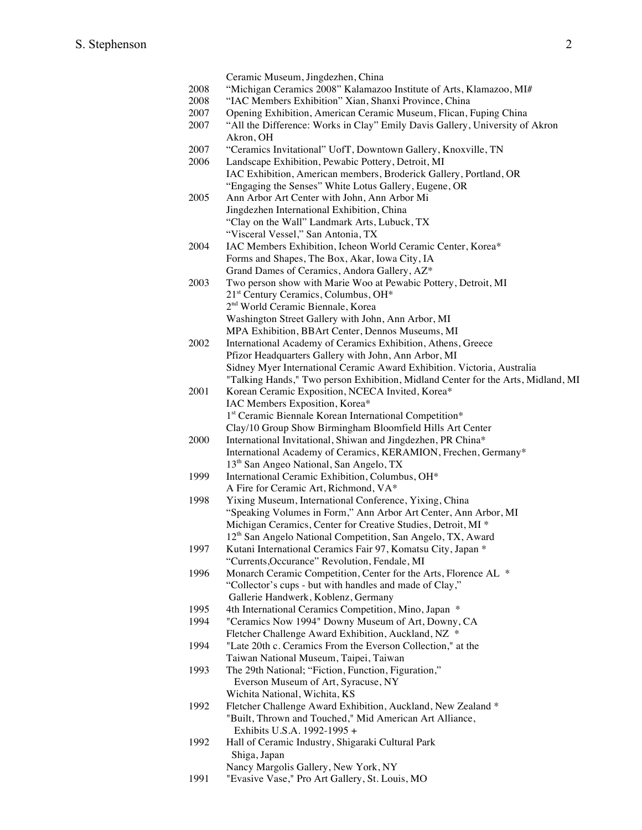|      | Ceramic Museum, Jingdezhen, China                                                |
|------|----------------------------------------------------------------------------------|
| 2008 | "Michigan Ceramics 2008" Kalamazoo Institute of Arts, Klamazoo, MI#              |
| 2008 | "IAC Members Exhibition" Xian, Shanxi Province, China                            |
| 2007 | Opening Exhibition, American Ceramic Museum, Flican, Fuping China                |
| 2007 | "All the Difference: Works in Clay" Emily Davis Gallery, University of Akron     |
|      | Akron, OH                                                                        |
| 2007 | "Ceramics Invitational" UofT, Downtown Gallery, Knoxville, TN                    |
|      |                                                                                  |
| 2006 | Landscape Exhibition, Pewabic Pottery, Detroit, MI                               |
|      | IAC Exhibition, American members, Broderick Gallery, Portland, OR                |
|      | "Engaging the Senses" White Lotus Gallery, Eugene, OR                            |
| 2005 | Ann Arbor Art Center with John, Ann Arbor Mi                                     |
|      | Jingdezhen International Exhibition, China                                       |
|      | "Clay on the Wall" Landmark Arts, Lubuck, TX                                     |
|      | "Visceral Vessel," San Antonia, TX                                               |
| 2004 | IAC Members Exhibition, Icheon World Ceramic Center, Korea*                      |
|      | Forms and Shapes, The Box, Akar, Iowa City, IA                                   |
|      | Grand Dames of Ceramics, Andora Gallery, AZ*                                     |
| 2003 | Two person show with Marie Woo at Pewabic Pottery, Detroit, MI                   |
|      | 21 <sup>st</sup> Century Ceramics, Columbus, OH*                                 |
|      | 2 <sup>nd</sup> World Ceramic Biennale, Korea                                    |
|      | Washington Street Gallery with John, Ann Arbor, MI                               |
|      | MPA Exhibition, BBArt Center, Dennos Museums, MI                                 |
| 2002 | International Academy of Ceramics Exhibition, Athens, Greece                     |
|      | Pfizor Headquarters Gallery with John, Ann Arbor, MI                             |
|      | Sidney Myer International Ceramic Award Exhibition. Victoria, Australia          |
|      | "Talking Hands," Two person Exhibition, Midland Center for the Arts, Midland, MI |
| 2001 | Korean Ceramic Exposition, NCECA Invited, Korea*                                 |
|      | IAC Members Exposition, Korea*                                                   |
|      | 1st Ceramic Biennale Korean International Competition*                           |
|      | Clay/10 Group Show Birmingham Bloomfield Hills Art Center                        |
| 2000 | International Invitational, Shiwan and Jingdezhen, PR China*                     |
|      | International Academy of Ceramics, KERAMION, Frechen, Germany*                   |
|      | 13 <sup>th</sup> San Angeo National, San Angelo, TX                              |
| 1999 | International Ceramic Exhibition, Columbus, OH*                                  |
|      | A Fire for Ceramic Art, Richmond, VA*                                            |
| 1998 | Yixing Museum, International Conference, Yixing, China                           |
|      | "Speaking Volumes in Form," Ann Arbor Art Center, Ann Arbor, MI                  |
|      |                                                                                  |
|      | Michigan Ceramics, Center for Creative Studies, Detroit, MI *                    |
|      | 12 <sup>th</sup> San Angelo National Competition, San Angelo, TX, Award          |
| 1997 | Kutani International Ceramics Fair 97, Komatsu City, Japan *                     |
|      | "Currents, Occurance" Revolution, Fendale, MI                                    |
| 1996 | Monarch Ceramic Competition, Center for the Arts, Florence AL *                  |
|      | "Collector's cups - but with handles and made of Clay,"                          |
|      | Gallerie Handwerk, Koblenz, Germany                                              |
| 1995 | 4th International Ceramics Competition, Mino, Japan *                            |
| 1994 | "Ceramics Now 1994" Downy Museum of Art, Downy, CA                               |
|      | Fletcher Challenge Award Exhibition, Auckland, NZ *                              |
| 1994 | "Late 20th c. Ceramics From the Everson Collection," at the                      |
|      | Taiwan National Museum, Taipei, Taiwan                                           |
| 1993 | The 29th National; "Fiction, Function, Figuration,"                              |
|      | Everson Museum of Art, Syracuse, NY                                              |
|      | Wichita National, Wichita, KS                                                    |
| 1992 | Fletcher Challenge Award Exhibition, Auckland, New Zealand *                     |
|      | "Built, Thrown and Touched," Mid American Art Alliance,                          |
|      | Exhibits U.S.A. 1992-1995 +                                                      |
| 1992 | Hall of Ceramic Industry, Shigaraki Cultural Park                                |
|      | Shiga, Japan                                                                     |
|      | Nancy Margolis Gallery, New York, NY                                             |
| 1991 | "Evasive Vase," Pro Art Gallery, St. Louis, MO                                   |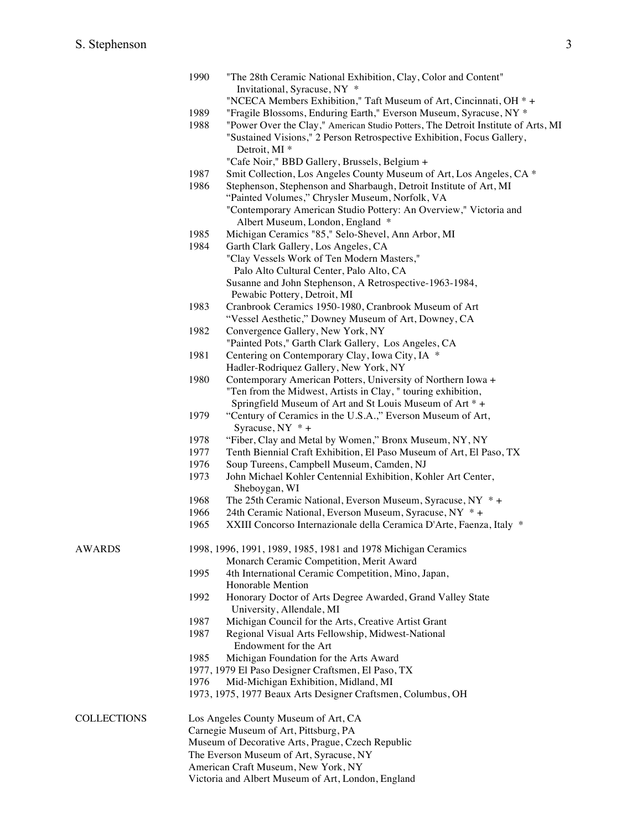|                    | 1990                                                          | "The 28th Ceramic National Exhibition, Clay, Color and Content"                       |  |  |  |
|--------------------|---------------------------------------------------------------|---------------------------------------------------------------------------------------|--|--|--|
|                    |                                                               | Invitational, Syracuse, NY *                                                          |  |  |  |
|                    |                                                               | "NCECA Members Exhibition," Taft Museum of Art, Cincinnati, OH *+                     |  |  |  |
|                    | 1989                                                          | "Fragile Blossoms, Enduring Earth," Everson Museum, Syracuse, NY *                    |  |  |  |
|                    | 1988                                                          | "Power Over the Clay," American Studio Potters, The Detroit Institute of Arts, MI     |  |  |  |
|                    |                                                               | "Sustained Visions," 2 Person Retrospective Exhibition, Focus Gallery,                |  |  |  |
|                    |                                                               | Detroit, MI <sup>*</sup>                                                              |  |  |  |
|                    |                                                               | "Cafe Noir," BBD Gallery, Brussels, Belgium +                                         |  |  |  |
|                    | 1987                                                          | Smit Collection, Los Angeles County Museum of Art, Los Angeles, CA *                  |  |  |  |
|                    | 1986                                                          | Stephenson, Stephenson and Sharbaugh, Detroit Institute of Art, MI                    |  |  |  |
|                    |                                                               | "Painted Volumes," Chrysler Museum, Norfolk, VA                                       |  |  |  |
|                    |                                                               | "Contemporary American Studio Pottery: An Overview," Victoria and                     |  |  |  |
|                    | 1985<br>1984                                                  | Albert Museum, London, England *                                                      |  |  |  |
|                    |                                                               | Michigan Ceramics "85," Selo-Shevel, Ann Arbor, MI                                    |  |  |  |
|                    |                                                               | Garth Clark Gallery, Los Angeles, CA                                                  |  |  |  |
|                    |                                                               | "Clay Vessels Work of Ten Modern Masters,"                                            |  |  |  |
|                    |                                                               | Palo Alto Cultural Center, Palo Alto, CA                                              |  |  |  |
|                    |                                                               |                                                                                       |  |  |  |
|                    |                                                               | Susanne and John Stephenson, A Retrospective-1963-1984,                               |  |  |  |
|                    |                                                               | Pewabic Pottery, Detroit, MI<br>Cranbrook Ceramics 1950-1980, Cranbrook Museum of Art |  |  |  |
|                    | 1983                                                          |                                                                                       |  |  |  |
|                    |                                                               | "Vessel Aesthetic," Downey Museum of Art, Downey, CA                                  |  |  |  |
|                    | 1982                                                          | Convergence Gallery, New York, NY                                                     |  |  |  |
|                    |                                                               | "Painted Pots," Garth Clark Gallery, Los Angeles, CA                                  |  |  |  |
|                    | 1981                                                          | Centering on Contemporary Clay, Iowa City, IA *                                       |  |  |  |
|                    |                                                               | Hadler-Rodriquez Gallery, New York, NY                                                |  |  |  |
|                    | 1980                                                          | Contemporary American Potters, University of Northern Iowa +                          |  |  |  |
|                    |                                                               | "Ten from the Midwest, Artists in Clay, " touring exhibition,                         |  |  |  |
|                    |                                                               | Springfield Museum of Art and St Louis Museum of Art * +                              |  |  |  |
|                    | 1979                                                          | "Century of Ceramics in the U.S.A.," Everson Museum of Art,<br>Syracuse, $NY * +$     |  |  |  |
|                    | 1978                                                          | "Fiber, Clay and Metal by Women," Bronx Museum, NY, NY                                |  |  |  |
|                    | 1977                                                          | Tenth Biennial Craft Exhibition, El Paso Museum of Art, El Paso, TX                   |  |  |  |
|                    | 1976                                                          | Soup Tureens, Campbell Museum, Camden, NJ                                             |  |  |  |
|                    | 1973                                                          | John Michael Kohler Centennial Exhibition, Kohler Art Center,<br>Sheboygan, WI        |  |  |  |
|                    | 1968                                                          | The 25th Ceramic National, Everson Museum, Syracuse, NY $*$ +                         |  |  |  |
|                    | 1966                                                          | 24th Ceramic National, Everson Museum, Syracuse, NY *+                                |  |  |  |
|                    | 1965                                                          | XXIII Concorso Internazionale della Ceramica D'Arte, Faenza, Italy *                  |  |  |  |
| <b>AWARDS</b>      | 1998, 1996, 1991, 1989, 1985, 1981 and 1978 Michigan Ceramics |                                                                                       |  |  |  |
|                    |                                                               | Monarch Ceramic Competition, Merit Award                                              |  |  |  |
|                    | 1995                                                          | 4th International Ceramic Competition, Mino, Japan,                                   |  |  |  |
|                    |                                                               | Honorable Mention                                                                     |  |  |  |
|                    | 1992                                                          | Honorary Doctor of Arts Degree Awarded, Grand Valley State                            |  |  |  |
|                    |                                                               | University, Allendale, MI                                                             |  |  |  |
|                    | 1987                                                          | Michigan Council for the Arts, Creative Artist Grant                                  |  |  |  |
|                    | 1987                                                          | Regional Visual Arts Fellowship, Midwest-National                                     |  |  |  |
|                    |                                                               | Endowment for the Art                                                                 |  |  |  |
|                    | 1985<br>Michigan Foundation for the Arts Award                |                                                                                       |  |  |  |
|                    | 1977, 1979 El Paso Designer Craftsmen, El Paso, TX            |                                                                                       |  |  |  |
|                    | Mid-Michigan Exhibition, Midland, MI<br>1976                  |                                                                                       |  |  |  |
|                    | 1973, 1975, 1977 Beaux Arts Designer Craftsmen, Columbus, OH  |                                                                                       |  |  |  |
| <b>COLLECTIONS</b> | Los Angeles County Museum of Art, CA                          |                                                                                       |  |  |  |
|                    | Carnegie Museum of Art, Pittsburg, PA                         |                                                                                       |  |  |  |
|                    |                                                               | Museum of Decorative Arts, Prague, Czech Republic                                     |  |  |  |
|                    | The Everson Museum of Art, Syracuse, NY                       |                                                                                       |  |  |  |
|                    | American Craft Museum, New York, NY                           |                                                                                       |  |  |  |

Victoria and Albert Museum of Art, London, England